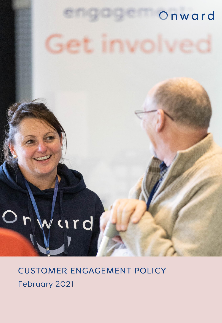## Onward

# ard

## **CUSTOMER ENGAGEMENT POLICY** February 2021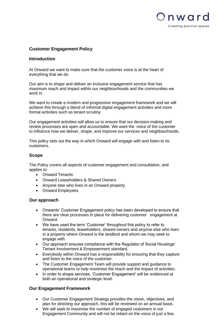

### **Customer Engagement Policy**

#### **Introduction**

At Onward we want to make sure that the customer voice is at the heart of everything that we do.

Our aim is to shape and deliver an inclusive engagement service that has maximum reach and impact within our neighbourhoods and the communities we work in.

We want to create a modern and progressive engagement framework and we will achieve this through a blend of informal digital engagement activities and more formal activities such as tenant scrutiny.

Our engagement activities will allow us to ensure that our decision-making and review processes are open and accountable. We want the voice of the customer to influence how we deliver, shape, and improve our services and neighbourhoods.

This policy sets out the way in which Onward will engage with and listen to its customers.

#### **Scope**

The Policy covers all aspects of customer engagement and consultation, and applies to

- Onward Tenants
- Onward Leaseholders & Shared Owners
- Anyone else who lives in an Onward property
- Onward Employees

#### **Our approach**

- Onwards' Customer Engagement policy has been developed to ensure that there are clear processes in place for delivering customer engagement at Onward.
- We have used the term 'Customer' throughout this policy to refer to tenants, residents, leaseholders, shared owners and anyone else who lives in a property where Onward is the landlord and whom we may seek to engage with.
- Our approach ensures compliance with the Regulator of Social Housings' Tenant Involvement & Empowerment standard.
- Everybody within Onward has a responsibility for ensuring that they capture and listen to the voice of the customer.
- The Customer Engagement Team will provide support and guidance to operational teams to help maximise the reach and the impact of activities.
- In order to shape services, 'Customer Engagement' will be evidenced at both an operational and strategic level.

#### **Our Engagement Framework**

- Our Customer Engagement Strategy provides the vision, objectives, and plan for directing our approach, this will be reviewed on an annual basis.
- We will seek to maximise the number of engaged customers in our Engagement Community and will not be reliant on the voice of just a few.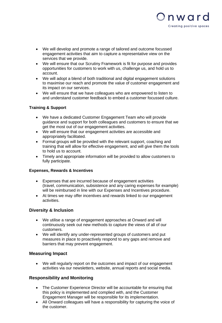

- We will develop and promote a range of tailored and outcome focussed engagement activities that aim to capture a representative view on the services that we provide.
- We will ensure that our Scrutiny Framework is fit for purpose and provides opportunities for customers to work with us, challenge us, and hold us to account.
- We will adopt a blend of both traditional and digital engagement solutions to maximise our reach and promote the value of customer engagement and its impact on our services.
- We will ensure that we have colleagues who are empowered to listen to and understand customer feedback to embed a customer focussed culture.

#### **Training & Support**

- We have a dedicated Customer Engagement Team who will provide guidance and support for both colleagues and customers to ensure that we get the most out of our engagement activities.
- We will ensure that our engagement activities are accessible and appropriately facilitated.
- Formal groups will be provided with the relevant support, coaching and training that will allow for effective engagement, and will give them the tools to hold us to account.
- Timely and appropriate information will be provided to allow customers to fully participate.

#### **Expenses, Rewards & Incentives**

- Expenses that are incurred because of engagement activities (travel, communication, subsistence and any caring expenses for example) will be reimbursed in line with our Expenses and Incentives procedure.
- At times we may offer incentives and rewards linked to our engagement activities.

#### **Diversity & Inclusion**

- We utilise a range of engagement approaches at Onward and will continuously seek out new methods to capture the views of all of our customers.
- We will identify any under-represented groups of customers and put measures in place to proactively respond to any gaps and remove and barriers that may prevent engagement.

#### **Measuring Impact**

• We will regularly report on the outcomes and impact of our engagement activities via our newsletters, website, annual reports and social media.

#### **Responsibility and Monitoring**

- The Customer Experience Director will be accountable for ensuring that this policy is implemented and complied with, and the Customer Engagement Manager will be responsible for its implementation.
- All Onward colleagues will have a responsibility for capturing the voice of the customer.